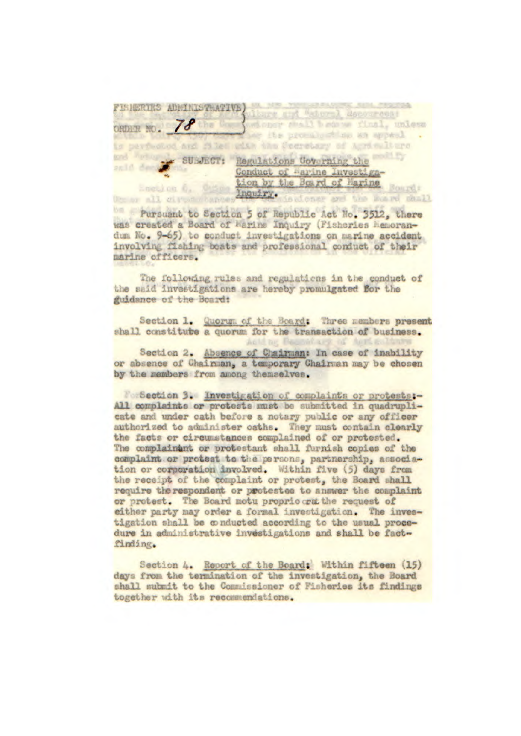FISHERTES ADMINISTRATIVE) Matural decourees! ORDER NO. 78 owicher shall bedrow final, unless ar its prominentian an appeal . 29.3e40 adis the Convolary of Agriculture is parfactod **Breed** Regulations Governing the and Artico **SUBJECT:** anid dan Conduct of Marine Investigation by the Board of Marine Board Enetion G. Inquiry. the Eurere nam11 Occupy all circumstance

Pursuant to Section 5 of Republic Act No. 3512, there was created a Board of Marine Inquiry (Fisheries Memorandum No. 9-65) to conduct investigations on marine accident. involving fishing boats and professional conduct of their marine officers.

The following rules and regulations in the conduct of the said investigations are hereby promulgated for the guidance of the Board:

Section 1. Quorum of the Board: Three members present shall constitute a quorum for the transaction of business.

Achi av Pessoni ard no Anni en

Section 2. Absence of Chairman: In case of inability or absence of Chairman, a temporary Chairman may be chosen by the members from among themselves.

Westdon 3. Investigation of complaints or protests:-All complaints or protests must be submitted in quadruplicate and under cath before a notary public or any officer authorized to administer oaths. They must contain clearly the facts or circumstances complained of or protested. The complainant or protestant shall furnish copies of the complaint or protest to the persons, partnership, association or corporation involved. Within five (5) days from the receipt of the complaint or protest, the Board shall require the respondent or protestee to answer the complaint or protest. The Board motu proprio cratthe request of either party may order a formal investigation. The investigation shall be conducted according to the usual procedure in administrative investigations and shall be factfinding.

Section 4. Report of the Board: Within fifteen (15) days from the termination of the investigation, the Board shall submit to the Commissioner of Fisheries its findings together with its recommendations.